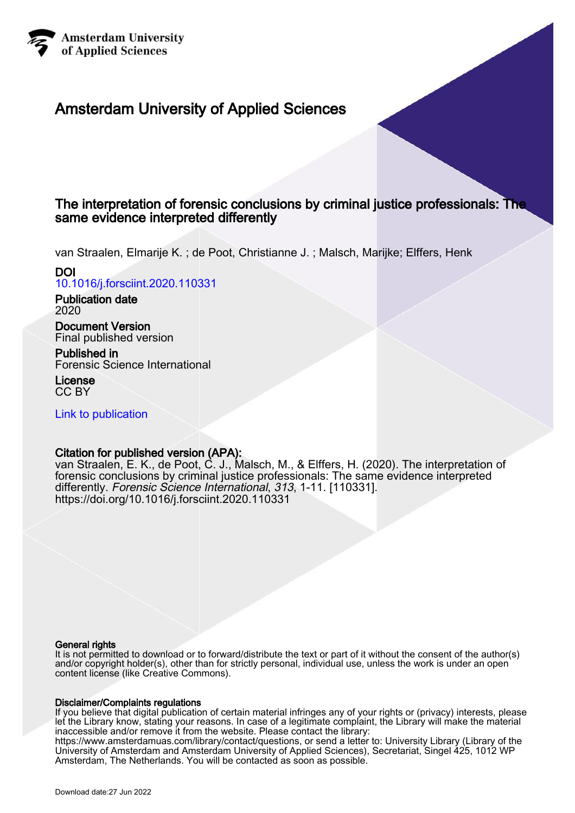

# Amsterdam University of Applied Sciences

## The interpretation of forensic conclusions by criminal justice professionals: The same evidence interpreted differently

van Straalen, Elmarije K. ; de Poot, Christianne J. ; Malsch, Marijke; Elffers, Henk DOI

[10.1016/j.forsciint.2020.110331](https://doi.org/10.1016/j.forsciint.2020.110331)

Publication date 2020

Document Version Final published version

Published in Forensic Science International

License CC BY

[Link to publication](https://research.hva.nl/en/publications/bbc4de85-42e8-4310-a235-eaaf3683c311)

## Citation for published version (APA):

van Straalen, E. K., de Poot, C. J., Malsch, M., & Elffers, H. (2020). The interpretation of forensic conclusions by criminal justice professionals: The same evidence interpreted differently. Forensic Science International, 313, 1-11. [110331]. <https://doi.org/10.1016/j.forsciint.2020.110331>

## General rights

It is not permitted to download or to forward/distribute the text or part of it without the consent of the author(s) and/or copyright holder(s), other than for strictly personal, individual use, unless the work is under an open content license (like Creative Commons).

## Disclaimer/Complaints regulations

If you believe that digital publication of certain material infringes any of your rights or (privacy) interests, please let the Library know, stating your reasons. In case of a legitimate complaint, the Library will make the material inaccessible and/or remove it from the website. Please contact the library:

https://www.amsterdamuas.com/library/contact/questions, or send a letter to: University Library (Library of the University of Amsterdam and Amsterdam University of Applied Sciences), Secretariat, Singel 425, 1012 WP Amsterdam, The Netherlands. You will be contacted as soon as possible.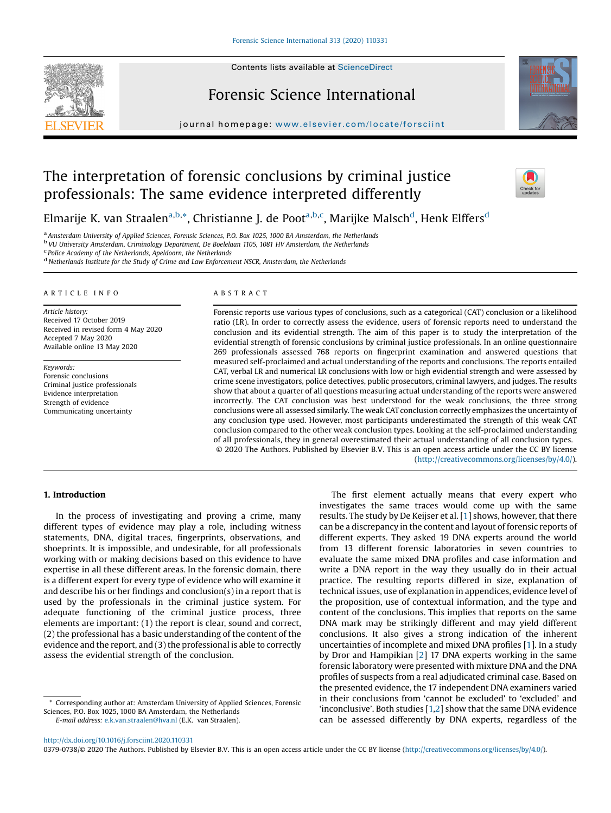## Forensic Science International

journal homepage: <www.elsevier.com/locate/forsciint>

# The interpretation of forensic conclusions by criminal justice professionals: The same evidence interpreted differently

Elmarije K. van Straalen<sup>a,b,</sup>\*, Christianne J. de Poot<sup>a,b,c</sup>, Marijke Malsch<sup>d</sup>, Henk Elffers<sup>d</sup>

<sup>a</sup> Amsterdam University of Applied Sciences, Forensic Sciences, P.O. Box 1025, 1000 BA Amsterdam, the Netherlands bVU University Amsterdam, Criminology Department, De Boelelaan 1105, 1081 HV Amsterdam, the Netherlands <sup>c</sup>

 $<sup>d</sup>$  Netherlands Institute for the Study of Crime and Law Enforcement NSCR, Amsterdam, the Netherlands</sup>

#### A R T I C L E I N F O

Article history: Received 17 October 2019 Received in revised form 4 May 2020 Accepted 7 May 2020 Available online 13 May 2020

Keywords: Forensic conclusions Criminal justice professionals Evidence interpretation Strength of evidence Communicating uncertainty

#### A B S T R A C T

Forensic reports use various types of conclusions, such as a categorical (CAT) conclusion or a likelihood ratio (LR). In order to correctly assess the evidence, users of forensic reports need to understand the conclusion and its evidential strength. The aim of this paper is to study the interpretation of the evidential strength of forensic conclusions by criminal justice professionals. In an online questionnaire 269 professionals assessed 768 reports on fingerprint examination and answered questions that measured self-proclaimed and actual understanding of the reports and conclusions. The reports entailed CAT, verbal LR and numerical LR conclusions with low or high evidential strength and were assessed by crime scene investigators, police detectives, public prosecutors, criminal lawyers, and judges. The results show that about a quarter of all questions measuring actual understanding of the reports were answered incorrectly. The CAT conclusion was best understood for the weak conclusions, the three strong conclusions were all assessed similarly. The weak CAT conclusion correctly emphasizes the uncertainty of any conclusion type used. However, most participants underestimated the strength of this weak CAT conclusion compared to the other weak conclusion types. Looking at the self-proclaimed understanding of all professionals, they in general overestimated their actual understanding of all conclusion types. © 2020 The Authors. Published by Elsevier B.V. This is an open access article under the CC BY license

[\(http://creativecommons.org/licenses/by/4.0/](http://creativecommons.org/licenses/by/4.0/)).

## 1. Introduction

In the process of investigating and proving a crime, many different types of evidence may play a role, including witness statements, DNA, digital traces, fingerprints, observations, and shoeprints. It is impossible, and undesirable, for all professionals working with or making decisions based on this evidence to have expertise in all these different areas. In the forensic domain, there is a different expert for every type of evidence who will examine it and describe his or her findings and conclusion(s) in a report that is used by the professionals in the criminal justice system. For adequate functioning of the criminal justice process, three elements are important: (1) the report is clear, sound and correct, (2) the professional has a basic understanding of the content of the evidence and the report, and (3) the professional is able to correctly assess the evidential strength of the conclusion.

Corresponding author at: Amsterdam University of Applied Sciences, Forensic Sciences, P.O. Box 1025, 1000 BA Amsterdam, the Netherlands E-mail address: [e.k.van.straalen@hva.nl](mailto:e.k.van.straalen@hva.nl) (E.K. van Straalen).

The first element actually means that every expert who investigates the same traces would come up with the same results. The study by De Keijser et al. [[1](#page-11-0)] shows, however, that there can be a discrepancy in the content and layout of forensic reports of different experts. They asked 19 DNA experts around the world from 13 different forensic laboratories in seven countries to evaluate the same mixed DNA profiles and case information and write a DNA report in the way they usually do in their actual practice. The resulting reports differed in size, explanation of technical issues, use of explanation in appendices, evidence level of the proposition, use of contextual information, and the type and content of the conclusions. This implies that reports on the same DNA mark may be strikingly different and may yield different conclusions. It also gives a strong indication of the inherent uncertainties of incomplete and mixed DNA profiles [\[1](#page-11-0)]. In a study by Dror and Hampikian [[2](#page-11-0)] 17 DNA experts working in the same forensic laboratory were presented with mixture DNA and the DNA profiles of suspects from a real adjudicated criminal case. Based on the presented evidence, the 17 independent DNA examiners varied in their conclusions from 'cannot be excluded' to 'excluded' and 'inconclusive'. Both studies [\[1,2](#page-11-0)] show that the same DNA evidence can be assessed differently by DNA experts, regardless of the

0379-0738/© 2020 The Authors. Published by Elsevier B.V. This is an open access article under the CC BY license [\(http://creativecommons.org/licenses/by/4.0/](http://creativecommons.org/licenses/by/4.0/)).



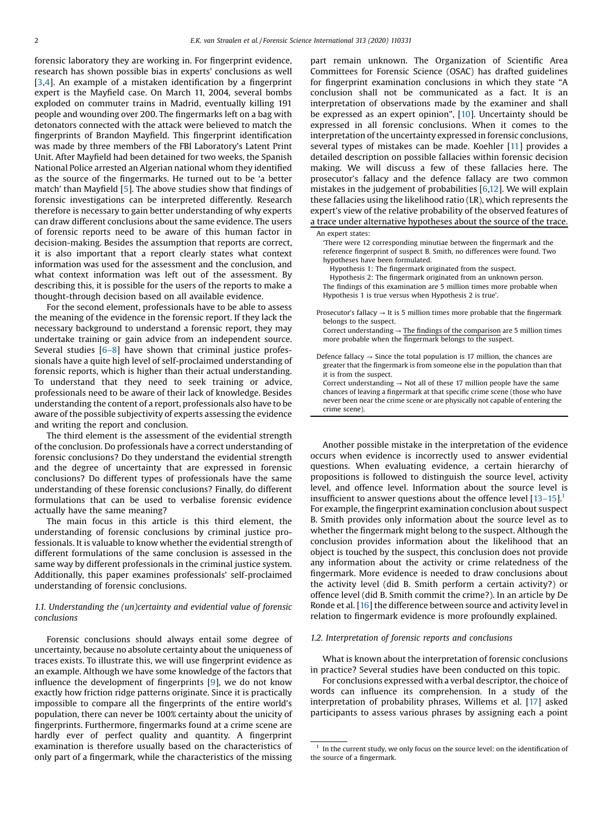forensic laboratory they are working in. For fingerprint evidence, research has shown possible bias in experts' conclusions as well [[3](#page-11-0),[4](#page-11-0)]. An example of a mistaken identification by a fingerprint expert is the Mayfield case. On March 11, 2004, several bombs exploded on commuter trains in Madrid, eventually killing 191 people and wounding over 200. The fingermarks left on a bag with detonators connected with the attack were believed to match the fingerprints of Brandon Mayfield. This fingerprint identification was made by three members of the FBI Laboratory's Latent Print Unit. After Mayfield had been detained for two weeks, the Spanish National Police arrested an Algerian national whom they identified as the source of the fingermarks. He turned out to be 'a better match' than Mayfield [[5](#page-11-0)]. The above studies show that findings of forensic investigations can be interpreted differently. Research therefore is necessary to gain better understanding of why experts can draw different conclusions about the same evidence. The users of forensic reports need to be aware of this human factor in decision-making. Besides the assumption that reports are correct, it is also important that a report clearly states what context information was used for the assessment and the conclusion, and what context information was left out of the assessment. By describing this, it is possible for the users of the reports to make a thought-through decision based on all available evidence.

For the second element, professionals have to be able to assess the meaning of the evidence in the forensic report. If they lack the necessary background to understand a forensic report, they may undertake training or gain advice from an independent source. Several studies [6[–](#page-11-0)8] have shown that criminal justice professionals have a quite high level of self-proclaimed understanding of forensic reports, which is higher than their actual understanding. To understand that they need to seek training or advice, professionals need to be aware of their lack of knowledge. Besides understanding the content of a report, professionals also have to be aware of the possible subjectivity of experts assessing the evidence and writing the report and conclusion.

The third element is the assessment of the evidential strength of the conclusion. Do professionals have a correct understanding of forensic conclusions? Do they understand the evidential strength and the degree of uncertainty that are expressed in forensic conclusions? Do different types of professionals have the same understanding of these forensic conclusions? Finally, do different formulations that can be used to verbalise forensic evidence actually have the same meaning?

The main focus in this article is this third element, the understanding of forensic conclusions by criminal justice professionals. It is valuable to know whether the evidential strength of different formulations of the same conclusion is assessed in the same way by different professionals in the criminal justice system. Additionally, this paper examines professionals' self-proclaimed understanding of forensic conclusions.

## 1.1. Understanding the (un)certainty and evidential value of forensic conclusions

Forensic conclusions should always entail some degree of uncertainty, because no absolute certainty about the uniqueness of traces exists. To illustrate this, we will use fingerprint evidence as an example. Although we have some knowledge of the factors that influence the development of fingerprints  $[9]$  $[9]$ , we do not know exactly how friction ridge patterns originate. Since it is practically impossible to compare all the fingerprints of the entire world's population, there can never be 100% certainty about the unicity of fingerprints. Furthermore, fingermarks found at a crime scene are hardly ever of perfect quality and quantity. A fingerprint examination is therefore usually based on the characteristics of only part of a fingermark, while the characteristics of the missing

part remain unknown. The Organization of Scientific Area Committees for Forensic Science (OSAC) has drafted guidelines for fingerprint examination conclusions in which they state "A conclusion shall not be communicated as a fact. It is an interpretation of observations made by the examiner and shall be expressed as an expert opinion", [[10\]](#page-11-0). Uncertainty should be expressed in all forensic conclusions. When it comes to the interpretation of the uncertainty expressed in forensic conclusions, several types of mistakes can be made. Koehler [[11](#page-11-0)] provides a detailed description on possible fallacies within forensic decision making. We will discuss a few of these fallacies here. The prosecutor's fallacy and the defence fallacy are two common mistakes in the judgement of probabilities [[6](#page-11-0),[12](#page-11-0)]. We will explain these fallacies using the likelihood ratio (LR), which represents the expert's view of the relative probability of the observed features of a trace under alternative hypotheses about the source of the trace.

An expert states:

'There were 12 corresponding minutiae between the fingermark and the reference fingerprint of suspect B. Smith, no differences were found. Two hypotheses have been formulated.

Hypothesis 1: The fingermark originated from the suspect.

Hypothesis 2: The fingermark originated from an unknown person. The findings of this examination are 5 million times more probable when Hypothesis 1 is true versus when Hypothesis 2 is true'.

Prosecutor's fallacy  $\rightarrow$  It is 5 million times more probable that the fingermark belongs to the suspect.

Correct understanding  $\rightarrow$  The findings of the comparison are 5 million times more probable when the fingermark belongs to the suspect.

Defence fallacy  $\rightarrow$  Since the total population is 17 million, the chances are greater that the fingermark is from someone else in the population than that it is from the suspect.

Correct understanding  $\rightarrow$  Not all of these 17 million people have the same chances of leaving a fingermark at that specific crime scene (those who have never been near the crime scene or are physically not capable of entering the crime scene).

Another possible mistake in the interpretation of the evidence occurs when evidence is incorrectly used to answer evidential questions. When evaluating evidence, a certain hierarchy of propositions is followed to distinguish the source level, activity level, and offence level. Information about the source level is insufficient to answer questions about the offence level  $[13-15]$  $[13-15]$ .<sup>1</sup> For example, the fingerprint examination conclusion about suspect B. Smith provides only information about the source level as to whether the fingermark might belong to the suspect. Although the conclusion provides information about the likelihood that an object is touched by the suspect, this conclusion does not provide any information about the activity or crime relatedness of the fingermark. More evidence is needed to draw conclusions about the activity level (did B. Smith perform a certain activity?) or offence level (did B. Smith commit the crime?). In an article by De Ronde et al. [[16](#page-11-0)] the difference between source and activity level in relation to fingermark evidence is more profoundly explained.

#### 1.2. Interpretation of forensic reports and conclusions

What is known about the interpretation of forensic conclusions in practice? Several studies have been conducted on this topic.

For conclusions expressed with a verbal descriptor, the choice of words can influence its comprehension. In a study of the interpretation of probability phrases, Willems et al. [[17\]](#page-11-0) asked participants to assess various phrases by assigning each a point

 $1$  In the current study, we only focus on the source level: on the identification of the source of a fingermark.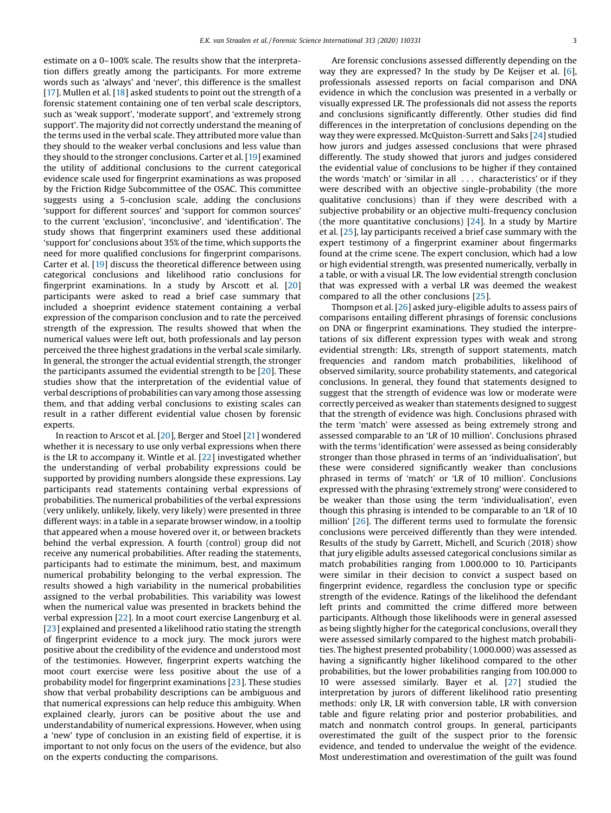estimate on a 0–100% scale. The results show that the interpretation differs greatly among the participants. For more extreme words such as 'always' and 'never', this difference is the smallest [[17](#page-11-0)]. Mullen et al. [\[18](#page-11-0)] asked students to point out the strength of a forensic statement containing one of ten verbal scale descriptors, such as 'weak support', 'moderate support', and 'extremely strong support'. The majority did not correctly understand the meaning of the terms used in the verbal scale. They attributed more value than they should to the weaker verbal conclusions and less value than they should to the stronger conclusions. Carter et al. [[19](#page-11-0)] examined the utility of additional conclusions to the current categorical evidence scale used for fingerprint examinations as was proposed by the Friction Ridge Subcommittee of the OSAC. This committee suggests using a 5-conclusion scale, adding the conclusions 'support for different sources' and 'support for common sources' to the current 'exclusion', 'inconclusive', and 'identification'. The study shows that fingerprint examiners used these additional 'support for' conclusions about 35% of the time, which supports the need for more qualified conclusions for fingerprint comparisons. Carter et al. [[19](#page-11-0)] discuss the theoretical difference between using categorical conclusions and likelihood ratio conclusions for fingerprint examinations. In a study by Arscott et al. [[20](#page-11-0)] participants were asked to read a brief case summary that included a shoeprint evidence statement containing a verbal expression of the comparison conclusion and to rate the perceived strength of the expression. The results showed that when the numerical values were left out, both professionals and lay person perceived the three highest gradations in the verbal scale similarly. In general, the stronger the actual evidential strength, the stronger the participants assumed the evidential strength to be [\[20](#page-11-0)]. These studies show that the interpretation of the evidential value of verbal descriptions of probabilities can vary among those assessing them, and that adding verbal conclusions to existing scales can result in a rather different evidential value chosen by forensic experts.

In reaction to Arscot et al. [[20](#page-11-0)], Berger and Stoel [\[21\]](#page-11-0) wondered whether it is necessary to use only verbal expressions when there is the LR to accompany it. Wintle et al. [[22](#page-11-0)] investigated whether the understanding of verbal probability expressions could be supported by providing numbers alongside these expressions. Lay participants read statements containing verbal expressions of probabilities. The numerical probabilities of the verbal expressions (very unlikely, unlikely, likely, very likely) were presented in three different ways: in a table in a separate browser window, in a tooltip that appeared when a mouse hovered over it, or between brackets behind the verbal expression. A fourth (control) group did not receive any numerical probabilities. After reading the statements, participants had to estimate the minimum, best, and maximum numerical probability belonging to the verbal expression. The results showed a high variability in the numerical probabilities assigned to the verbal probabilities. This variability was lowest when the numerical value was presented in brackets behind the verbal expression [\[22](#page-11-0)]. In a moot court exercise Langenburg et al. [[23](#page-11-0)] explained and presented a likelihood ratio stating the strength of fingerprint evidence to a mock jury. The mock jurors were positive about the credibility of the evidence and understood most of the testimonies. However, fingerprint experts watching the moot court exercise were less positive about the use of a probability model for fingerprint examinations [\[23](#page-11-0)]. These studies show that verbal probability descriptions can be ambiguous and that numerical expressions can help reduce this ambiguity. When explained clearly, jurors can be positive about the use and understandability of numerical expressions. However, when using a 'new' type of conclusion in an existing field of expertise, it is important to not only focus on the users of the evidence, but also on the experts conducting the comparisons.

Are forensic conclusions assessed differently depending on the way they are expressed? In the study by De Keijser et al. [[6](#page-11-0)], professionals assessed reports on facial comparison and DNA evidence in which the conclusion was presented in a verbally or visually expressed LR. The professionals did not assess the reports and conclusions significantly differently. Other studies did find differences in the interpretation of conclusions depending on the way they were expressed. McQuiston-Surrett and Saks [[24](#page-11-0)] studied how jurors and judges assessed conclusions that were phrased differently. The study showed that jurors and judges considered the evidential value of conclusions to be higher if they contained the words 'match' or 'similar in all . . . characteristics' or if they were described with an objective single-probability (the more qualitative conclusions) than if they were described with a subjective probability or an objective multi-frequency conclusion (the more quantitative conclusions) [[24](#page-11-0)]. In a study by Martire et al. [[25](#page-11-0)], lay participants received a brief case summary with the expert testimony of a fingerprint examiner about fingermarks found at the crime scene. The expert conclusion, which had a low or high evidential strength, was presented numerically, verbally in a table, or with a visual LR. The low evidential strength conclusion that was expressed with a verbal LR was deemed the weakest compared to all the other conclusions [[25](#page-11-0)].

Thompson et al. [\[26](#page-11-0)] asked jury-eligible adults to assess pairs of comparisons entailing different phrasings of forensic conclusions on DNA or fingerprint examinations. They studied the interpretations of six different expression types with weak and strong evidential strength: LRs, strength of support statements, match frequencies and random match probabilities, likelihood of observed similarity, source probability statements, and categorical conclusions. In general, they found that statements designed to suggest that the strength of evidence was low or moderate were correctly perceived as weaker than statements designed to suggest that the strength of evidence was high. Conclusions phrased with the term 'match' were assessed as being extremely strong and assessed comparable to an 'LR of 10 million'. Conclusions phrased with the terms 'identification' were assessed as being considerably stronger than those phrased in terms of an 'individualisation', but these were considered significantly weaker than conclusions phrased in terms of 'match' or 'LR of 10 million'. Conclusions expressed with the phrasing 'extremely strong' were considered to be weaker than those using the term 'individualisation', even though this phrasing is intended to be comparable to an 'LR of 10 million' [[26\]](#page-11-0). The different terms used to formulate the forensic conclusions were perceived differently than they were intended. Results of the study by Garrett, Michell, and Scurich (2018) show that jury eligible adults assessed categorical conclusions similar as match probabilities ranging from 1.000.000 to 10. Participants were similar in their decision to convict a suspect based on fingerprint evidence, regardless the conclusion type or specific strength of the evidence. Ratings of the likelihood the defendant left prints and committed the crime differed more between participants. Although those likelihoods were in general assessed as being slightly higher for the categorical conclusions, overall they were assessed similarly compared to the highest match probabilities. The highest presented probability (1.000.000) was assessed as having a significantly higher likelihood compared to the other probabilities, but the lower probabilities ranging from 100.000 to 10 were assessed similarly. Bayer et al. [\[27](#page-11-0)] studied the interpretation by jurors of different likelihood ratio presenting methods: only LR, LR with conversion table, LR with conversion table and figure relating prior and posterior probabilities, and match and nonmatch control groups. In general, participants overestimated the guilt of the suspect prior to the forensic evidence, and tended to undervalue the weight of the evidence. Most underestimation and overestimation of the guilt was found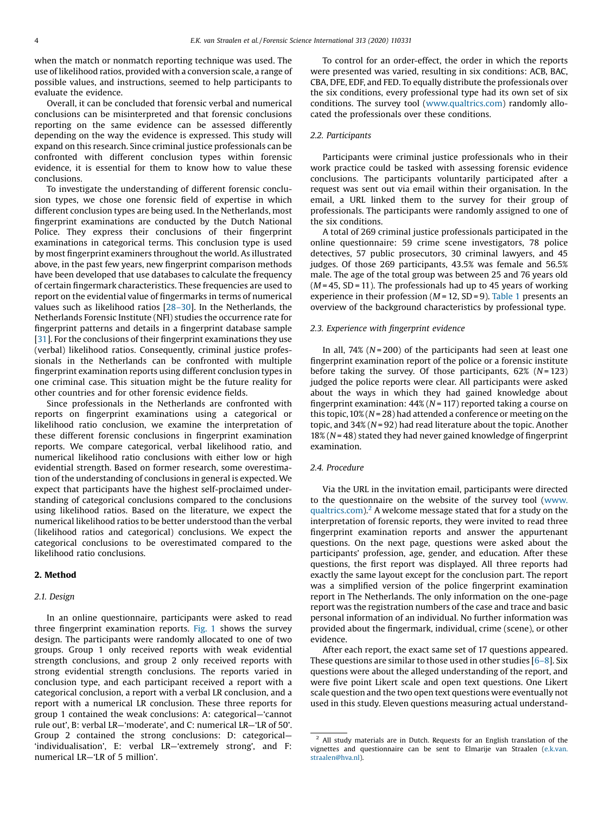when the match or nonmatch reporting technique was used. The use of likelihood ratios, provided with a conversion scale, a range of possible values, and instructions, seemed to help participants to evaluate the evidence.

Overall, it can be concluded that forensic verbal and numerical conclusions can be misinterpreted and that forensic conclusions reporting on the same evidence can be assessed differently depending on the way the evidence is expressed. This study will expand on this research. Since criminal justice professionals can be confronted with different conclusion types within forensic evidence, it is essential for them to know how to value these conclusions.

To investigate the understanding of different forensic conclusion types, we chose one forensic field of expertise in which different conclusion types are being used. In the Netherlands, most fingerprint examinations are conducted by the Dutch National Police. They express their conclusions of their fingerprint examinations in categorical terms. This conclusion type is used by most fingerprint examiners throughout the world. As illustrated above, in the past few years, new fingerprint comparison methods have been developed that use databases to calculate the frequency of certain fingermark characteristics. These frequencies are used to report on the evidential value of fingermarks in terms of numerical values such as likelihood ratios [\[28](#page-11-0)–30]. In the Netherlands, the Netherlands Forensic Institute (NFI) studies the occurrence rate for fingerprint patterns and details in a fingerprint database sample [[31](#page-11-0)]. For the conclusions of their fingerprint examinations they use (verbal) likelihood ratios. Consequently, criminal justice professionals in the Netherlands can be confronted with multiple fingerprint examination reports using different conclusion types in one criminal case. This situation might be the future reality for other countries and for other forensic evidence fields.

Since professionals in the Netherlands are confronted with reports on fingerprint examinations using a categorical or likelihood ratio conclusion, we examine the interpretation of these different forensic conclusions in fingerprint examination reports. We compare categorical, verbal likelihood ratio, and numerical likelihood ratio conclusions with either low or high evidential strength. Based on former research, some overestimation of the understanding of conclusions in general is expected. We expect that participants have the highest self-proclaimed understanding of categorical conclusions compared to the conclusions using likelihood ratios. Based on the literature, we expect the numerical likelihood ratios to be better understood than the verbal (likelihood ratios and categorical) conclusions. We expect the categorical conclusions to be overestimated compared to the likelihood ratio conclusions.

## 2. Method

## 2.1. Design

In an online questionnaire, participants were asked to read three fingerprint examination reports. [Fig.](#page-5-0) 1 shows the survey design. The participants were randomly allocated to one of two groups. Group 1 only received reports with weak evidential strength conclusions, and group 2 only received reports with strong evidential strength conclusions. The reports varied in conclusion type, and each participant received a report with a categorical conclusion, a report with a verbal LR conclusion, and a report with a numerical LR conclusion. These three reports for group 1 contained the weak conclusions: A: categorical—'cannot rule out', B: verbal LR—'moderate', and C: numerical LR—'LR of 50'. Group 2 contained the strong conclusions: D: categorical— 'individualisation', E: verbal LR—'extremely strong', and F: numerical LR—'LR of 5 million'.

To control for an order-effect, the order in which the reports were presented was varied, resulting in six conditions: ACB, BAC, CBA, DFE, EDF, and FED. To equally distribute the professionals over the six conditions, every professional type had its own set of six conditions. The survey tool ([www.qualtrics.com\)](http://www.qualtrics.com) randomly allocated the professionals over these conditions.

### 2.2. Participants

Participants were criminal justice professionals who in their work practice could be tasked with assessing forensic evidence conclusions. The participants voluntarily participated after a request was sent out via email within their organisation. In the email, a URL linked them to the survey for their group of professionals. The participants were randomly assigned to one of the six conditions.

A total of 269 criminal justice professionals participated in the online questionnaire: 59 crime scene investigators, 78 police detectives, 57 public prosecutors, 30 criminal lawyers, and 45 judges. Of those 269 participants, 43.5% was female and 56.5% male. The age of the total group was between 25 and 76 years old  $(M = 45, SD = 11)$ . The professionals had up to 45 years of working experience in their profession ( $M = 12$ ,  $SD = 9$ ). [Table](#page-5-0) 1 presents an overview of the background characteristics by professional type.

#### 2.3. Experience with fingerprint evidence

In all, 74% ( $N = 200$ ) of the participants had seen at least one fingerprint examination report of the police or a forensic institute before taking the survey. Of those participants,  $62\%$  (N = 123) judged the police reports were clear. All participants were asked about the ways in which they had gained knowledge about fingerprint examination:  $44\%$  (N = 117) reported taking a course on this topic,  $10\%$  (N = 28) had attended a conference or meeting on the topic, and  $34\%$  (N = 92) had read literature about the topic. Another  $18\%$  (N = 48) stated they had never gained knowledge of fingerprint examination.

#### 2.4. Procedure

Via the URL in the invitation email, participants were directed to the questionnaire on the website of the survey tool ([www.](http://www.qualtrics.com) [qualtrics.com](http://www.qualtrics.com)).<sup>2</sup> A welcome message stated that for a study on the interpretation of forensic reports, they were invited to read three fingerprint examination reports and answer the appurtenant questions. On the next page, questions were asked about the participants' profession, age, gender, and education. After these questions, the first report was displayed. All three reports had exactly the same layout except for the conclusion part. The report was a simplified version of the police fingerprint examination report in The Netherlands. The only information on the one-page report was the registration numbers of the case and trace and basic personal information of an individual. No further information was provided about the fingermark, individual, crime (scene), or other evidence.

After each report, the exact same set of 17 questions appeared. These questions are similar to those used in other studies  $[6-8]$  $[6-8]$ . Six questions were about the alleged understanding of the report, and were five point Likert scale and open text questions. One Likert scale question and the two open text questions were eventually not used in this study. Eleven questions measuring actual understand-

 $2$  All study materials are in Dutch. Requests for an English translation of the vignettes and questionnaire can be sent to Elmarije van Straalen ([e.k.van.](http://e.k.van.straalen@hva.nl) [straalen@hva.nl\)](http://e.k.van.straalen@hva.nl).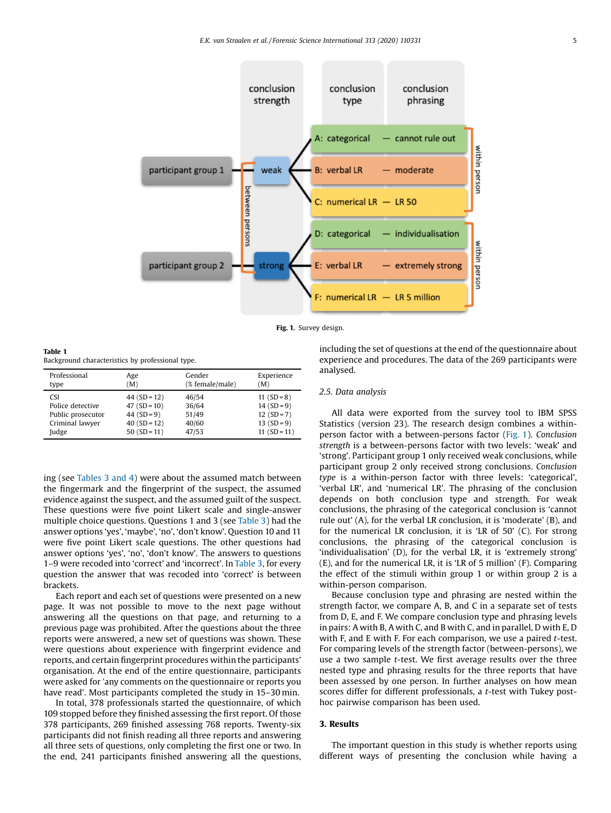<span id="page-5-0"></span>

Fig. 1. Survey design.

Table 1 Background characteristics by professional type.

| Professional      | Age            | Gender          | Experience       |
|-------------------|----------------|-----------------|------------------|
| type              | (M)            | (% female/male) | (M)              |
| <b>CSI</b>        | $44 (SD = 12)$ | 46/54           | 11 $(SD = 8)$    |
| Police detective  | 47 $(SD = 10)$ | 36/64           | $14 (SD = 9)$    |
| Public prosecutor | 44 $(SD = 9)$  | 51/49           | $12(SD=7)$       |
| Criminal lawyer   | $40(SD = 12)$  | 40/60           | $13(SD=9)$       |
| Judge             | $50(SD = 11)$  | 47/53           | 11 ( $SD = 11$ ) |

ing (see [Tables](#page-7-0) 3 and 4) were about the assumed match between the fingermark and the fingerprint of the suspect, the assumed evidence against the suspect, and the assumed guilt of the suspect. These questions were five point Likert scale and single-answer multiple choice questions. Questions 1 and 3 (see [Table](#page-7-0) 3) had the answer options 'yes', 'maybe', 'no', 'don't know'. Question 10 and 11 were five point Likert scale questions. The other questions had answer options 'yes', 'no', 'don't know'. The answers to questions 1–9 were recoded into 'correct' and 'incorrect'. In [Table](#page-7-0) 3, for every question the answer that was recoded into 'correct' is between brackets.

Each report and each set of questions were presented on a new page. It was not possible to move to the next page without answering all the questions on that page, and returning to a previous page was prohibited. After the questions about the three reports were answered, a new set of questions was shown. These were questions about experience with fingerprint evidence and reports, and certain fingerprint procedures within the participants' organisation. At the end of the entire questionnaire, participants were asked for 'any comments on the questionnaire or reports you have read'. Most participants completed the study in 15–30 min.

In total, 378 professionals started the questionnaire, of which 109 stopped before they finished assessing the first report. Of those 378 participants, 269 finished assessing 768 reports. Twenty-six participants did not finish reading all three reports and answering all three sets of questions, only completing the first one or two. In the end, 241 participants finished answering all the questions,

## including the set of questions at the end of the questionnaire about experience and procedures. The data of the 269 participants were analysed.

#### 2.5. Data analysis

All data were exported from the survey tool to IBM SPSS Statistics (version 23). The research design combines a withinperson factor with a between-persons factor (Fig. 1). Conclusion strength is a between-persons factor with two levels: 'weak' and 'strong'. Participant group 1 only received weak conclusions, while participant group 2 only received strong conclusions. Conclusion type is a within-person factor with three levels: 'categorical', 'verbal LR', and 'numerical LR'. The phrasing of the conclusion depends on both conclusion type and strength. For weak conclusions, the phrasing of the categorical conclusion is 'cannot rule out' (A), for the verbal LR conclusion, it is 'moderate' (B), and for the numerical LR conclusion, it is 'LR of 50' (C). For strong conclusions, the phrasing of the categorical conclusion is 'individualisation' (D), for the verbal LR, it is 'extremely strong' (E), and for the numerical LR, it is 'LR of 5 million' (F). Comparing the effect of the stimuli within group 1 or within group 2 is a within-person comparison.

Because conclusion type and phrasing are nested within the strength factor, we compare A, B, and C in a separate set of tests from D, E, and F. We compare conclusion type and phrasing levels in pairs: A with B, A with C, and B with C, and in parallel, D with E, D with F, and E with F. For each comparison, we use a paired *t*-test. For comparing levels of the strength factor (between-persons), we use a two sample t-test. We first average results over the three nested type and phrasing results for the three reports that have been assessed by one person. In further analyses on how mean scores differ for different professionals, a t-test with Tukey posthoc pairwise comparison has been used.

### 3. Results

The important question in this study is whether reports using different ways of presenting the conclusion while having a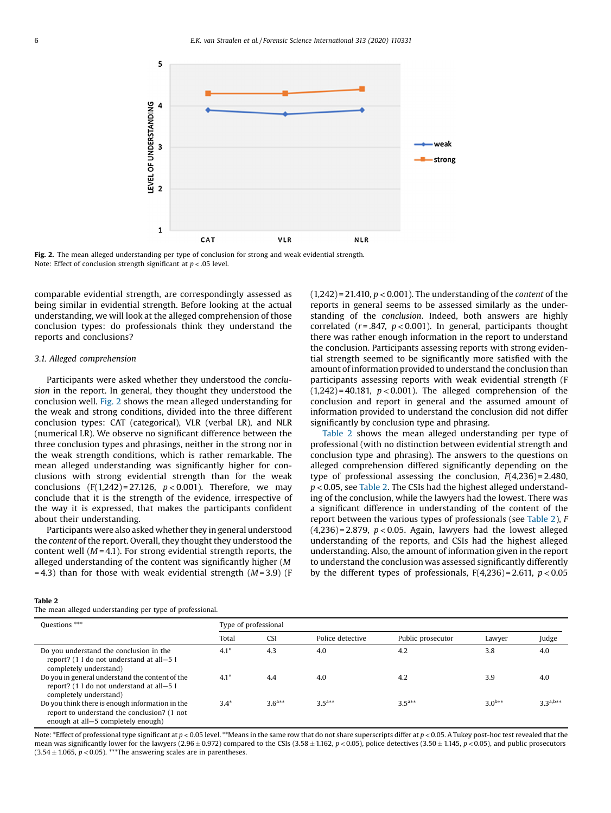<span id="page-6-0"></span>

Fig. 2. The mean alleged understanding per type of conclusion for strong and weak evidential strength. Note: Effect of conclusion strength significant at  $p < .05$  level.

comparable evidential strength, are correspondingly assessed as being similar in evidential strength. Before looking at the actual understanding, we will look at the alleged comprehension of those conclusion types: do professionals think they understand the reports and conclusions?

#### 3.1. Alleged comprehension

Participants were asked whether they understood the conclusion in the report. In general, they thought they understood the conclusion well. Fig. 2 shows the mean alleged understanding for the weak and strong conditions, divided into the three different conclusion types: CAT (categorical), VLR (verbal LR), and NLR (numerical LR). We observe no significant difference between the three conclusion types and phrasings, neither in the strong nor in the weak strength conditions, which is rather remarkable. The mean alleged understanding was significantly higher for conclusions with strong evidential strength than for the weak conclusions  $(F(1,242) = 27.126, p < 0.001)$ . Therefore, we may conclude that it is the strength of the evidence, irrespective of the way it is expressed, that makes the participants confident about their understanding.

Participants were also asked whether they in general understood the content of the report. Overall, they thought they understood the content well ( $M = 4.1$ ). For strong evidential strength reports, the alleged understanding of the content was significantly higher (M  $= 4.3$ ) than for those with weak evidential strength (*M* = 3.9) (F  $(1,242)$  = 21.410,  $p < 0.001$ ). The understanding of the *content* of the reports in general seems to be assessed similarly as the understanding of the conclusion. Indeed, both answers are highly correlated ( $r = .847$ ,  $p < 0.001$ ). In general, participants thought there was rather enough information in the report to understand the conclusion. Participants assessing reports with strong evidential strength seemed to be significantly more satisfied with the amount of information provided to understand the conclusion than participants assessing reports with weak evidential strength (F  $(1,242) = 40.181$ ,  $p < 0.001$ ). The alleged comprehension of the conclusion and report in general and the assumed amount of information provided to understand the conclusion did not differ significantly by conclusion type and phrasing.

Table 2 shows the mean alleged understanding per type of professional (with no distinction between evidential strength and conclusion type and phrasing). The answers to the questions on alleged comprehension differed significantly depending on the type of professional assessing the conclusion,  $F(4,236) = 2.480$ ,  $p$  < 0.05, see Table 2. The CSIs had the highest alleged understanding of the conclusion, while the lawyers had the lowest. There was a significant difference in understanding of the content of the report between the various types of professionals (see Table 2), F  $(4,236)$  = 2.879,  $p < 0.05$ . Again, lawyers had the lowest alleged understanding of the reports, and CSIs had the highest alleged understanding. Also, the amount of information given in the report to understand the conclusion was assessed significantly differently by the different types of professionals,  $F(4,236) = 2.611$ ,  $p < 0.05$ 

#### Table 2

The mean alleged understanding per type of professional.

| Questions ***                                                                                                                        | Type of professional |             |                  |                   |             |             |  |  |  |
|--------------------------------------------------------------------------------------------------------------------------------------|----------------------|-------------|------------------|-------------------|-------------|-------------|--|--|--|
|                                                                                                                                      | Total                | <b>CSI</b>  | Police detective | Public prosecutor | Lawyer      | Judge       |  |  |  |
| Do you understand the conclusion in the<br>report? (1 I do not understand at all-5 I<br>completely understand)                       | $4.1*$               | 4.3         | 4.0              | 4.2               | 3.8         | 4.0         |  |  |  |
| Do you in general understand the content of the<br>report? (1 I do not understand at all-5 I<br>completely understand)               | $4.1^*$              | 4.4         | 4.0              | 4.2               | 3.9         | 4.0         |  |  |  |
| Do you think there is enough information in the<br>report to understand the conclusion? (1 not<br>enough at all-5 completely enough) | $3.4*$               | $3.6^{a**}$ | $3.5^{a**}$      | $3.5^{a**}$       | $3.0^{b**}$ | $3^{a,b**}$ |  |  |  |

Note: \*Effect of professional type significant at  $p < 0.05$  level. \*\*Means in the same row that do not share superscripts differ at  $p < 0.05$ . A Tukey post-hoc test revealed that the mean was significantly lower for the lawyers (2.96  $\pm$  0.972) compared to the CSIs (3.58  $\pm$  1.162, p < 0.05), police detectives (3.50  $\pm$  1.145, p < 0.05), and public prosecutors  $(3.54 \pm 1.065, p < 0.05)$ . \*\*\*The answering scales are in parentheses.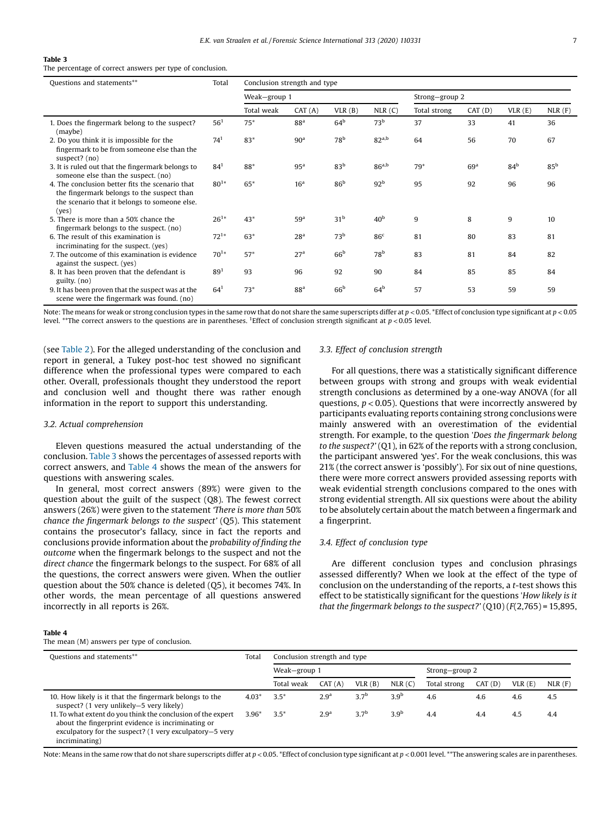#### <span id="page-7-0"></span>Table 3

The percentage of correct answers per type of conclusion.

| Ouestions and statements**                                                                                                                              | Total           | Conclusion strength and type |                 |                 |                   |                |                 |                 |                 |  |
|---------------------------------------------------------------------------------------------------------------------------------------------------------|-----------------|------------------------------|-----------------|-----------------|-------------------|----------------|-----------------|-----------------|-----------------|--|
|                                                                                                                                                         |                 | Weak-group 1                 |                 |                 |                   | Strong-group 2 |                 |                 |                 |  |
|                                                                                                                                                         |                 | Total weak                   | CAT(A)          | VLR(B)          | NLR(C)            | Total strong   | CAT(D)          | VLR(E)          | NLR(F)          |  |
| 1. Does the fingermark belong to the suspect?<br>(maybe)                                                                                                | $56^{1}$        | $75*$                        | 88 <sup>a</sup> | 64 <sup>b</sup> | 73 <sup>b</sup>   | 37             | 33              | 41              | 36              |  |
| 2. Do you think it is impossible for the<br>fingermark to be from someone else than the<br>suspect? (no)                                                | 74 <sup>1</sup> | 83*                          | 90 <sup>a</sup> | 78 <sup>b</sup> | 82 <sup>a,b</sup> | 64             | 56              | 70              | 67              |  |
| 3. It is ruled out that the fingermark belongs to<br>someone else than the suspect. (no)                                                                | $84^{1}$        | 88*                          | 95 <sup>a</sup> | 83 <sup>b</sup> | 86 <sup>a,b</sup> | $79*$          | 69 <sup>a</sup> | 84 <sup>b</sup> | 85 <sup>b</sup> |  |
| 4. The conclusion better fits the scenario that<br>the fingermark belongs to the suspect than<br>the scenario that it belongs to someone else.<br>(yes) | $80^{1*}$       | $65*$                        | 16 <sup>a</sup> | 86 <sup>b</sup> | 92 <sup>b</sup>   | 95             | 92              | 96              | 96              |  |
| 5. There is more than a 50% chance the<br>fingermark belongs to the suspect. (no)                                                                       | $26^{1*}$       | $43*$                        | 59 <sup>a</sup> | 31 <sup>b</sup> | 40 <sup>b</sup>   | 9              | 8               | 9               | 10              |  |
| 6. The result of this examination is<br>incriminating for the suspect. (yes)                                                                            | $72^{1*}$       | $63*$                        | 28 <sup>a</sup> | 73 <sup>b</sup> | 86 <sup>c</sup>   | 81             | 80              | 83              | 81              |  |
| 7. The outcome of this examination is evidence<br>against the suspect. (yes)                                                                            | $70^{1*}$       | $57*$                        | 27 <sup>a</sup> | 66 <sup>b</sup> | 78 <sup>b</sup>   | 83             | 81              | 84              | 82              |  |
| 8. It has been proven that the defendant is<br>guilty. (no)                                                                                             | $89^{1}$        | 93                           | 96              | 92              | 90                | 84             | 85              | 85              | 84              |  |
| 9. It has been proven that the suspect was at the<br>scene were the fingermark was found. (no)                                                          | $64^{1}$        | $73*$                        | 88 <sup>a</sup> | 66 <sup>b</sup> | 64 <sup>b</sup>   | 57             | 53              | 59              | 59              |  |

Note: The means for weak or strong conclusion types in the same row that do not share the same superscripts differ at  $p < 0.05$ . \*Effect of conclusion type significant at  $p < 0.05$ level. \*\*The correct answers to the questions are in parentheses. <sup>1</sup>Effect of conclusion strength significant at  $p < 0.05$  level.

(see [Table](#page-6-0) 2). For the alleged understanding of the conclusion and report in general, a Tukey post-hoc test showed no significant difference when the professional types were compared to each other. Overall, professionals thought they understood the report and conclusion well and thought there was rather enough information in the report to support this understanding.

#### 3.2. Actual comprehension

Eleven questions measured the actual understanding of the conclusion. Table 3 shows the percentages of assessed reports with correct answers, and Table 4 shows the mean of the answers for questions with answering scales.

In general, most correct answers (89%) were given to the question about the guilt of the suspect (Q8). The fewest correct answers (26%) were given to the statement 'There is more than 50% chance the fingermark belongs to the suspect' (Q5). This statement contains the prosecutor's fallacy, since in fact the reports and conclusions provide information about the probability of finding the outcome when the fingermark belongs to the suspect and not the direct chance the fingermark belongs to the suspect. For 68% of all the questions, the correct answers were given. When the outlier question about the 50% chance is deleted (Q5), it becomes 74%. In other words, the mean percentage of all questions answered incorrectly in all reports is 26%.

#### 3.3. Effect of conclusion strength

For all questions, there was a statistically significant difference between groups with strong and groups with weak evidential strength conclusions as determined by a one-way ANOVA (for all questions,  $p < 0.05$ ). Questions that were incorrectly answered by participants evaluating reports containing strong conclusions were mainly answered with an overestimation of the evidential strength. For example, to the question 'Does the fingermark belong to the suspect?' (Q1), in 62% of the reports with a strong conclusion, the participant answered 'yes'. For the weak conclusions, this was 21% (the correct answer is 'possibly'). For six out of nine questions, there were more correct answers provided assessing reports with weak evidential strength conclusions compared to the ones with strong evidential strength. All six questions were about the ability to be absolutely certain about the match between a fingermark and a fingerprint.

## 3.4. Effect of conclusion type

Are different conclusion types and conclusion phrasings assessed differently? When we look at the effect of the type of conclusion on the understanding of the reports, a t-test shows this effect to be statistically significant for the questions 'How likely is it that the fingermark belongs to the suspect?'  $(Q10)$   $(F(2,765) = 15,895,$ 

#### Table 4

The mean (M) answers per type of conclusion.

| Questions and statements**                                                                                                                                                                      | Total   | Conclusion strength and type |                  |                  |                  |                |        |        |             |
|-------------------------------------------------------------------------------------------------------------------------------------------------------------------------------------------------|---------|------------------------------|------------------|------------------|------------------|----------------|--------|--------|-------------|
|                                                                                                                                                                                                 |         | Weak-group 1                 |                  |                  |                  | Strong-group 2 |        |        |             |
|                                                                                                                                                                                                 |         | Total weak                   | CAT(A)           | VLR(B)           | NLR(C)           | Total strong   | CAT(D) | VLR(E) | $NLR$ $(F)$ |
| 10. How likely is it that the fingermark belongs to the<br>suspect? (1 very unlikely-5 very likely)                                                                                             | $4.03*$ | $3.5*$                       | 2.9 <sup>a</sup> | 3.7 <sup>b</sup> | 3.9 <sup>b</sup> | 4.6            | 4.6    | 4.6    | 4.5         |
| 11. To what extent do you think the conclusion of the expert<br>about the fingerprint evidence is incriminating or<br>exculpatory for the suspect? (1 very exculpatory-5 very<br>incriminating) | $3.96*$ | $3.5*$                       | 2.9 <sup>a</sup> | 3.7 <sup>b</sup> | 3.9 <sup>b</sup> | 4.4            | 4.4    | 4.5    | 4.4         |

Note: Means in the same row that do not share superscripts differ at  $p < 0.05$ . \*Effect of conclusion type significant at  $p < 0.001$  level. \*\*The answering scales are in parentheses.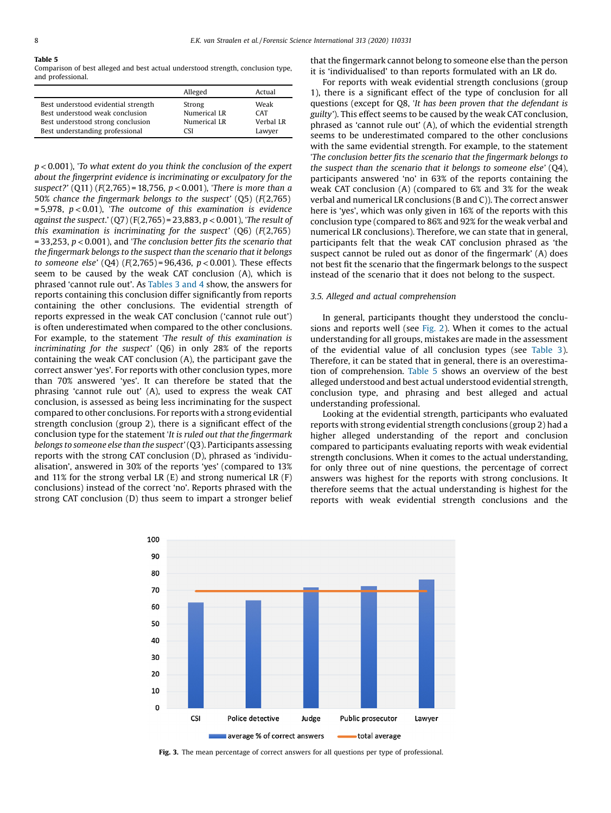#### <span id="page-8-0"></span>Table 5

Comparison of best alleged and best actual understood strength, conclusion type, and professional.

|                                     | Alleged      | Actual     |
|-------------------------------------|--------------|------------|
| Best understood evidential strength | Strong       | Weak       |
| Best understood weak conclusion     | Numerical LR | <b>CAT</b> |
| Best understood strong conclusion   | Numerical LR | Verbal LR  |
| Best understanding professional     | CSI          | Lawyer     |

 $p < 0.001$ ), 'To what extent do you think the conclusion of the expert about the fingerprint evidence is incriminating or exculpatory for the suspect?' (Q11) (F(2,765) = 18,756,  $p$  < 0.001), 'There is more than a 50% chance the fingermark belongs to the suspect' (Q5) (F(2,765)  $= 5,978$ ,  $p < 0.01$ ), 'The outcome of this examination is evidence against the suspect.'  $(Q7)$  (F(2,765) = 23,883, p < 0.001), 'The result of this examination is incriminating for the suspect'  $(Q6)$   $(F(2,765))$  $= 33,253, p < 0.001$ ), and 'The conclusion better fits the scenario that the fingermark belongs to the suspect than the scenario that it belongs to someone else' ( $O(4)$  ( $F(2.765) = 96.436$ ,  $p < 0.001$ ). These effects seem to be caused by the weak CAT conclusion (A), which is phrased 'cannot rule out'. As [Tables](#page-7-0) 3 and 4 show, the answers for reports containing this conclusion differ significantly from reports containing the other conclusions. The evidential strength of reports expressed in the weak CAT conclusion ('cannot rule out') is often underestimated when compared to the other conclusions. For example, to the statement 'The result of this examination is incriminating for the suspect' (Q6) in only 28% of the reports containing the weak CAT conclusion (A), the participant gave the correct answer 'yes'. For reports with other conclusion types, more than 70% answered 'yes'. It can therefore be stated that the phrasing 'cannot rule out' (A), used to express the weak CAT conclusion, is assessed as being less incriminating for the suspect compared to other conclusions. For reports with a strong evidential strength conclusion (group 2), there is a significant effect of the conclusion type for the statement 'It is ruled out that the fingermark belongs to someone else than the suspect'(Q3). Participants assessing reports with the strong CAT conclusion (D), phrased as 'individualisation', answered in 30% of the reports 'yes' (compared to 13% and 11% for the strong verbal LR  $(E)$  and strong numerical LR  $(F)$ conclusions) instead of the correct 'no'. Reports phrased with the strong CAT conclusion (D) thus seem to impart a stronger belief that the fingermark cannot belong to someone else than the person it is 'individualised' to than reports formulated with an LR do.

For reports with weak evidential strength conclusions (group 1), there is a significant effect of the type of conclusion for all questions (except for Q8, 'It has been proven that the defendant is guilty'). This effect seems to be caused by the weak CAT conclusion, phrased as 'cannot rule out' (A), of which the evidential strength seems to be underestimated compared to the other conclusions with the same evidential strength. For example, to the statement 'The conclusion better fits the scenario that the fingermark belongs to the suspect than the scenario that it belongs to someone else' (Q4), participants answered 'no' in 63% of the reports containing the weak CAT conclusion (A) (compared to 6% and 3% for the weak verbal and numerical LR conclusions (B and C)). The correct answer here is 'yes', which was only given in 16% of the reports with this conclusion type (compared to 86% and 92% for the weak verbal and numerical LR conclusions). Therefore, we can state that in general, participants felt that the weak CAT conclusion phrased as 'the suspect cannot be ruled out as donor of the fingermark' (A) does not best fit the scenario that the fingermark belongs to the suspect instead of the scenario that it does not belong to the suspect.

#### 3.5. Alleged and actual comprehension

In general, participants thought they understood the conclusions and reports well (see [Fig.](#page-6-0) 2). When it comes to the actual understanding for all groups, mistakes are made in the assessment of the evidential value of all conclusion types (see [Table](#page-7-0) 3). Therefore, it can be stated that in general, there is an overestimation of comprehension. Table 5 shows an overview of the best alleged understood and best actual understood evidential strength, conclusion type, and phrasing and best alleged and actual understanding professional.

Looking at the evidential strength, participants who evaluated reports with strong evidential strength conclusions (group 2) had a higher alleged understanding of the report and conclusion compared to participants evaluating reports with weak evidential strength conclusions. When it comes to the actual understanding, for only three out of nine questions, the percentage of correct answers was highest for the reports with strong conclusions. It therefore seems that the actual understanding is highest for the reports with weak evidential strength conclusions and the



Fig. 3. The mean percentage of correct answers for all questions per type of professional.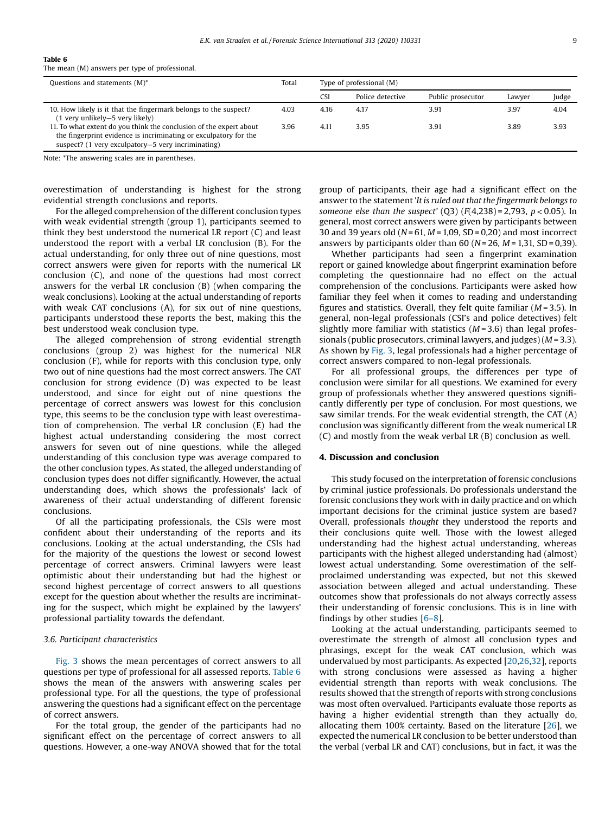The mean (M) answers per type of professional.

| Questions and statements $(M)^*$                                                                                                                                                             | Total | Type of professional (M) |                  |                   |        |       |
|----------------------------------------------------------------------------------------------------------------------------------------------------------------------------------------------|-------|--------------------------|------------------|-------------------|--------|-------|
|                                                                                                                                                                                              |       | CSI                      | Police detective | Public prosecutor | Lawyer | Judge |
| 10. How likely is it that the fingermark belongs to the suspect?<br>(1 very unlikely—5 very likely)                                                                                          | 4.03  | 4.16                     | 4.17             | 3.91              | 3.97   | 4.04  |
| 11. To what extent do you think the conclusion of the expert about<br>the fingerprint evidence is incriminating or exculpatory for the<br>suspect? (1 very exculpatory–5 very incriminating) | 3.96  | 4.11                     | 3.95             | 3.91              | 3.89   | 3.93  |

Note: \*The answering scales are in parentheses.

overestimation of understanding is highest for the strong evidential strength conclusions and reports.

For the alleged comprehension of the different conclusion types with weak evidential strength (group 1), participants seemed to think they best understood the numerical LR report (C) and least understood the report with a verbal LR conclusion (B). For the actual understanding, for only three out of nine questions, most correct answers were given for reports with the numerical LR conclusion (C), and none of the questions had most correct answers for the verbal LR conclusion (B) (when comparing the weak conclusions). Looking at the actual understanding of reports with weak CAT conclusions (A), for six out of nine questions, participants understood these reports the best, making this the best understood weak conclusion type.

The alleged comprehension of strong evidential strength conclusions (group 2) was highest for the numerical NLR conclusion (F), while for reports with this conclusion type, only two out of nine questions had the most correct answers. The CAT conclusion for strong evidence (D) was expected to be least understood, and since for eight out of nine questions the percentage of correct answers was lowest for this conclusion type, this seems to be the conclusion type with least overestimation of comprehension. The verbal LR conclusion (E) had the highest actual understanding considering the most correct answers for seven out of nine questions, while the alleged understanding of this conclusion type was average compared to the other conclusion types. As stated, the alleged understanding of conclusion types does not differ significantly. However, the actual understanding does, which shows the professionals' lack of awareness of their actual understanding of different forensic conclusions.

Of all the participating professionals, the CSIs were most confident about their understanding of the reports and its conclusions. Looking at the actual understanding, the CSIs had for the majority of the questions the lowest or second lowest percentage of correct answers. Criminal lawyers were least optimistic about their understanding but had the highest or second highest percentage of correct answers to all questions except for the question about whether the results are incriminating for the suspect, which might be explained by the lawyers' professional partiality towards the defendant.

#### 3.6. Participant characteristics

[Fig.](#page-8-0) 3 shows the mean percentages of correct answers to all questions per type of professional for all assessed reports. Table 6 shows the mean of the answers with answering scales per professional type. For all the questions, the type of professional answering the questions had a significant effect on the percentage of correct answers.

For the total group, the gender of the participants had no significant effect on the percentage of correct answers to all questions. However, a one-way ANOVA showed that for the total group of participants, their age had a significant effect on the answer to the statement'It is ruled out that the fingermark belongs to someone else than the suspect' (Q3)  $(F(4,238) = 2,793, p < 0.05)$ . In general, most correct answers were given by participants between 30 and 39 years old ( $N = 61$ ,  $M = 1,09$ , SD = 0,20) and most incorrect answers by participants older than 60 ( $N = 26$ ,  $M = 1,31$ , SD = 0,39).

Whether participants had seen a fingerprint examination report or gained knowledge about fingerprint examination before completing the questionnaire had no effect on the actual comprehension of the conclusions. Participants were asked how familiar they feel when it comes to reading and understanding figures and statistics. Overall, they felt quite familiar  $(M=3.5)$ . In general, non-legal professionals (CSI's and police detectives) felt slightly more familiar with statistics  $(M=3.6)$  than legal professionals (public prosecutors, criminal lawyers, and judges)  $(M = 3.3)$ . As shown by [Fig.](#page-8-0) 3, legal professionals had a higher percentage of correct answers compared to non-legal professionals.

For all professional groups, the differences per type of conclusion were similar for all questions. We examined for every group of professionals whether they answered questions significantly differently per type of conclusion. For most questions, we saw similar trends. For the weak evidential strength, the CAT (A) conclusion was significantly different from the weak numerical LR (C) and mostly from the weak verbal LR (B) conclusion as well.

#### 4. Discussion and conclusion

This study focused on the interpretation of forensic conclusions by criminal justice professionals. Do professionals understand the forensic conclusions they work with in daily practice and on which important decisions for the criminal justice system are based? Overall, professionals thought they understood the reports and their conclusions quite well. Those with the lowest alleged understanding had the highest actual understanding, whereas participants with the highest alleged understanding had (almost) lowest actual understanding. Some overestimation of the selfproclaimed understanding was expected, but not this skewed association between alleged and actual understanding. These outcomes show that professionals do not always correctly assess their understanding of forensic conclusions. This is in line with findings by other studies [6–[8\]](#page-11-0).

Looking at the actual understanding, participants seemed to overestimate the strength of almost all conclusion types and phrasings, except for the weak CAT conclusion, which was undervalued by most participants. As expected [[20,26,32](#page-11-0)], reports with strong conclusions were assessed as having a higher evidential strength than reports with weak conclusions. The results showed that the strength of reports with strong conclusions was most often overvalued. Participants evaluate those reports as having a higher evidential strength than they actually do, allocating them 100% certainty. Based on the literature [\[26](#page-11-0)], we expected the numerical LR conclusion to be better understood than the verbal (verbal LR and CAT) conclusions, but in fact, it was the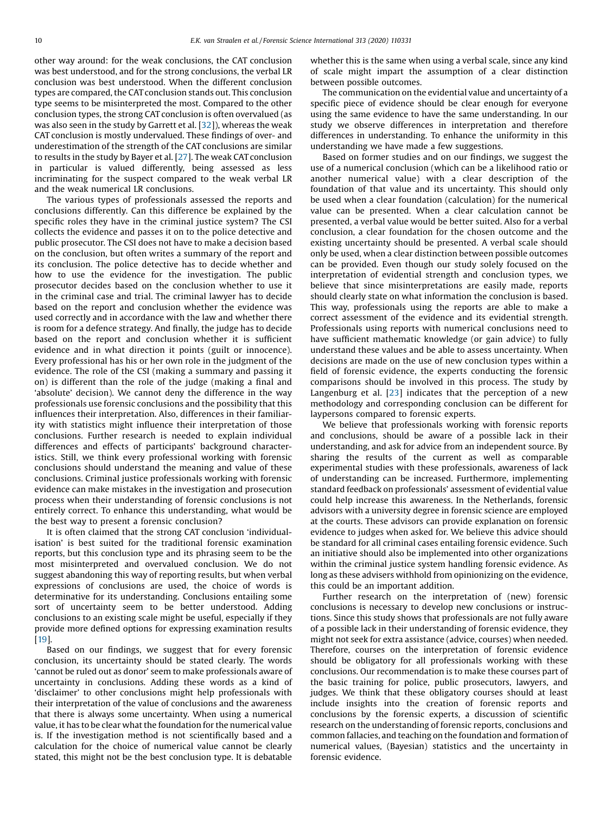other way around: for the weak conclusions, the CAT conclusion was best understood, and for the strong conclusions, the verbal LR conclusion was best understood. When the different conclusion types are compared, the CAT conclusion stands out. This conclusion type seems to be misinterpreted the most. Compared to the other conclusion types, the strong CAT conclusion is often overvalued (as was also seen in the study by Garrett et al. [[32](#page-11-0)]), whereas the weak CAT conclusion is mostly undervalued. These findings of over- and underestimation of the strength of the CAT conclusions are similar to results in the study by Bayer et al. [[27](#page-11-0)]. The weak CAT conclusion in particular is valued differently, being assessed as less incriminating for the suspect compared to the weak verbal LR and the weak numerical LR conclusions.

The various types of professionals assessed the reports and conclusions differently. Can this difference be explained by the specific roles they have in the criminal justice system? The CSI collects the evidence and passes it on to the police detective and public prosecutor. The CSI does not have to make a decision based on the conclusion, but often writes a summary of the report and its conclusion. The police detective has to decide whether and how to use the evidence for the investigation. The public prosecutor decides based on the conclusion whether to use it in the criminal case and trial. The criminal lawyer has to decide based on the report and conclusion whether the evidence was used correctly and in accordance with the law and whether there is room for a defence strategy. And finally, the judge has to decide based on the report and conclusion whether it is sufficient evidence and in what direction it points (guilt or innocence). Every professional has his or her own role in the judgment of the evidence. The role of the CSI (making a summary and passing it on) is different than the role of the judge (making a final and 'absolute' decision). We cannot deny the difference in the way professionals use forensic conclusions and the possibility that this influences their interpretation. Also, differences in their familiarity with statistics might influence their interpretation of those conclusions. Further research is needed to explain individual differences and effects of participants' background characteristics. Still, we think every professional working with forensic conclusions should understand the meaning and value of these conclusions. Criminal justice professionals working with forensic evidence can make mistakes in the investigation and prosecution process when their understanding of forensic conclusions is not entirely correct. To enhance this understanding, what would be the best way to present a forensic conclusion?

It is often claimed that the strong CAT conclusion 'individualisation' is best suited for the traditional forensic examination reports, but this conclusion type and its phrasing seem to be the most misinterpreted and overvalued conclusion. We do not suggest abandoning this way of reporting results, but when verbal expressions of conclusions are used, the choice of words is determinative for its understanding. Conclusions entailing some sort of uncertainty seem to be better understood. Adding conclusions to an existing scale might be useful, especially if they provide more defined options for expressing examination results [[19](#page-11-0)].

Based on our findings, we suggest that for every forensic conclusion, its uncertainty should be stated clearly. The words 'cannot be ruled out as donor' seem to make professionals aware of uncertainty in conclusions. Adding these words as a kind of 'disclaimer' to other conclusions might help professionals with their interpretation of the value of conclusions and the awareness that there is always some uncertainty. When using a numerical value, it has to be clear what the foundation for the numerical value is. If the investigation method is not scientifically based and a calculation for the choice of numerical value cannot be clearly stated, this might not be the best conclusion type. It is debatable whether this is the same when using a verbal scale, since any kind of scale might impart the assumption of a clear distinction between possible outcomes.

The communication on the evidential value and uncertainty of a specific piece of evidence should be clear enough for everyone using the same evidence to have the same understanding. In our study we observe differences in interpretation and therefore differences in understanding. To enhance the uniformity in this understanding we have made a few suggestions.

Based on former studies and on our findings, we suggest the use of a numerical conclusion (which can be a likelihood ratio or another numerical value) with a clear description of the foundation of that value and its uncertainty. This should only be used when a clear foundation (calculation) for the numerical value can be presented. When a clear calculation cannot be presented, a verbal value would be better suited. Also for a verbal conclusion, a clear foundation for the chosen outcome and the existing uncertainty should be presented. A verbal scale should only be used, when a clear distinction between possible outcomes can be provided. Even though our study solely focused on the interpretation of evidential strength and conclusion types, we believe that since misinterpretations are easily made, reports should clearly state on what information the conclusion is based. This way, professionals using the reports are able to make a correct assessment of the evidence and its evidential strength. Professionals using reports with numerical conclusions need to have sufficient mathematic knowledge (or gain advice) to fully understand these values and be able to assess uncertainty. When decisions are made on the use of new conclusion types within a field of forensic evidence, the experts conducting the forensic comparisons should be involved in this process. The study by Langenburg et al. [[23](#page-11-0)] indicates that the perception of a new methodology and corresponding conclusion can be different for laypersons compared to forensic experts.

We believe that professionals working with forensic reports and conclusions, should be aware of a possible lack in their understanding, and ask for advice from an independent source. By sharing the results of the current as well as comparable experimental studies with these professionals, awareness of lack of understanding can be increased. Furthermore, implementing standard feedback on professionals' assessment of evidential value could help increase this awareness. In the Netherlands, forensic advisors with a university degree in forensic science are employed at the courts. These advisors can provide explanation on forensic evidence to judges when asked for. We believe this advice should be standard for all criminal cases entailing forensic evidence. Such an initiative should also be implemented into other organizations within the criminal justice system handling forensic evidence. As long as these advisers withhold from opinionizing on the evidence, this could be an important addition.

Further research on the interpretation of (new) forensic conclusions is necessary to develop new conclusions or instructions. Since this study shows that professionals are not fully aware of a possible lack in their understanding of forensic evidence, they might not seek for extra assistance (advice, courses) when needed. Therefore, courses on the interpretation of forensic evidence should be obligatory for all professionals working with these conclusions. Our recommendation is to make these courses part of the basic training for police, public prosecutors, lawyers, and judges. We think that these obligatory courses should at least include insights into the creation of forensic reports and conclusions by the forensic experts, a discussion of scientific research on the understanding of forensic reports, conclusions and common fallacies, and teaching on the foundation and formation of numerical values, (Bayesian) statistics and the uncertainty in forensic evidence.